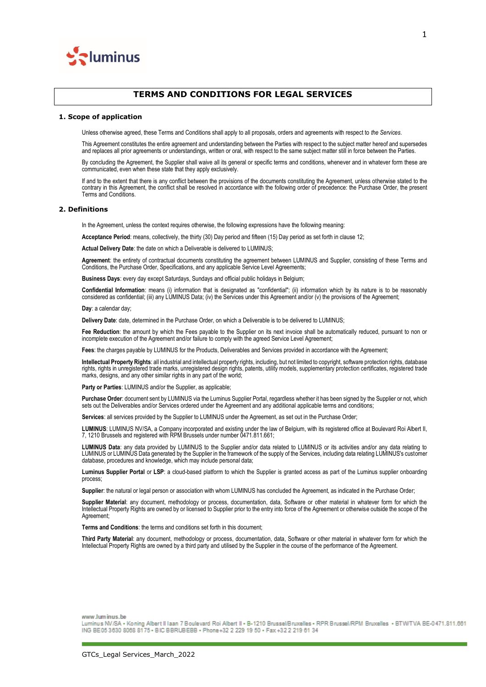

# **TERMS AND CONDITIONS FOR LEGAL SERVICES**

#### **1. Scope of application**

Unless otherwise agreed, these Terms and Conditions shall apply to all proposals, orders and agreements with respect to *the Services*.

This Agreement constitutes the entire agreement and understanding between the Parties with respect to the subject matter hereof and supersedes and replaces all prior agreements or understandings, written or oral, with respect to the same subject matter still in force between the Parties.

By concluding the Agreement, the Supplier shall waive all its general or specific terms and conditions, whenever and in whatever form these are communicated, even when these state that they apply exclusively.

If and to the extent that there is any conflict between the provisions of the documents constituting the Agreement, unless otherwise stated to the contrary in this Agreement, the conflict shall be resolved in accordance with the following order of precedence: the Purchase Order, the present Terms and Conditions.

## **2. Definitions**

In the Agreement, unless the context requires otherwise, the following expressions have the following meaning:

**Acceptance Period**: means, collectively, the thirty (30) Day period and fifteen (15) Day period as set forth in clause 12;

**Actual Delivery Date**: the date on which a Deliverable is delivered to LUMINUS;

**Agreement**: the entirety of contractual documents constituting the agreement between LUMINUS and Supplier, consisting of these Terms and Conditions, the Purchase Order, Specifications, and any applicable Service Level Agreements;

**Business Days**: every day except Saturdays, Sundays and official public holidays in Belgium;

**Confidential Information**: means (i) information that is designated as "confidential"; (ii) information which by its nature is to be reasonably considered as confidential; (iii) any LUMINUS Data; (iv) the Services under this Agreement and/or (v) the provisions of the Agreement;

**Day**: a calendar day;

**Delivery Date**: date, determined in the Purchase Order, on which a Deliverable is to be delivered to LUMINUS;

Fee Reduction: the amount by which the Fees payable to the Supplier on its next invoice shall be automatically reduced, pursuant to non or incomplete execution of the Agreement and/or failure to comply with the agreed Service Level Agreement;

Fees: the charges payable by LUMINUS for the Products, Deliverables and Services provided in accordance with the Agreement;

**Intellectual Property Rights**: all industrial and intellectual property rights, including, but not limited to copyright, software protection rights, database rights, rights in unregistered trade marks, unregistered design rights, patents, utility models, supplementary protection certificates, registered trade marks, designs, and any other similar rights in any part of the world;

**Party or Parties**: LUMINUS and/or the Supplier, as applicable;

**Purchase Order**: document sent by LUMINUS via the Luminus Supplier Portal, regardless whether it has been signed by the Supplier or not, which sets out the Deliverables and/or Services ordered under the Agreement and any additional applicable terms and conditions;

**Services**: all services provided by the Supplier to LUMINUS under the Agreement, as set out in the Purchase Order;

**LUMINUS**: LUMINUS NV/SA, a Company incorporated and existing under the law of Belgium, with its registered office at Boulevard Roi Albert II, 7, 1210 Brussels and registered with RPM Brussels under number 0471.811.661;

**LUMINUS Data**: any data provided by LUMINUS to the Supplier and/or data related to LUMINUS or its activities and/or any data relating to LUMINUS or LUMINUS Data generated by the Supplier in the framework of the supply of the Services, including data relating LUMINUS's customer database, procedures and knowledge, which may include personal data;

**Luminus Supplier Portal** or **LSP**: a cloud-based platform to which the Supplier is granted access as part of the Luminus supplier onboarding process;

**Supplier**: the natural or legal person or association with whom LUMINUS has concluded the Agreement, as indicated in the Purchase Order;

**Supplier Material**: any document, methodology or process, documentation, data, Software or other material in whatever form for which the Intellectual Property Rights are owned by or licensed to Supplier prior to the entry into force of the Agreement or otherwise outside the scope of the Agreement;

**Terms and Conditions**: the terms and conditions set forth in this document;

**Third Party Material**: any document, methodology or process, documentation, data, Software or other material in whatever form for which the Intellectual Property Rights are owned by a third party and utilised by the Supplier in the course of the performance of the Agreement.

www.luminus.be

Luminus NV/SA - Koning Albert II Iaan 7 Boulevard Roi Albert II - B-1210 Brussel/Bruxelles - RPR Brussel/RPM Bruxelles - BTW/TVA BE-0471.811.661 ING BE05 3630 8068 8175 - BIC BBRUBEBB - Phone +32 2 229 19 50 - Fax +32 2 219 61 34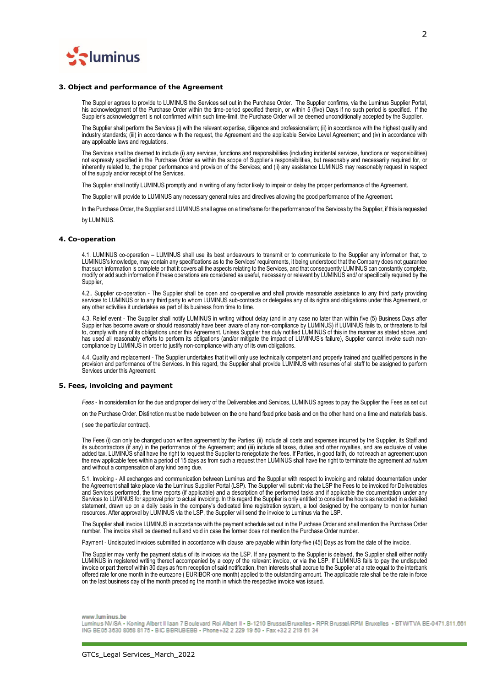

#### **3. Object and performance of the Agreement**

The Supplier agrees to provide to LUMINUS the Services set out in the Purchase Order. The Supplier confirms, via the Luminus Supplier Portal, his acknowledgment of the Purchase Order within the time-period specified therein, or within 5 (five) Days if no such period is specified. If the Supplier's acknowledgment is not confirmed within such time-limit, the Purchase Order will be deemed unconditionally accepted by the Supplier.

The Supplier shall perform the Services (i) with the relevant expertise, diligence and professionalism; (ii) in accordance with the highest quality and industry standards; (iii) in accordance with the request, the Agreement and the applicable Service Level Agreement; and (iv) in accordance with any applicable laws and regulations.

The Services shall be deemed to include (i) any services, functions and responsibilities (including incidental services, functions or responsibilities) not expressly specified in the Purchase Order as within the scope of Supplier's responsibilities, but reasonably and necessarily required for, or inherently related to, the proper performance and provision of the Services; and (ii) any assistance LUMINUS may reasonably request in respect of the supply and/or receipt of the Services.

The Supplier shall notify LUMINUS promptly and in writing of any factor likely to impair or delay the proper performance of the Agreement.

The Supplier will provide to LUMINUS any necessary general rules and directives allowing the good performance of the Agreement.

In the Purchase Order, the Supplier and LUMINUS shall agree on a timeframe for the performance of the Services by the Supplier, if this is requested

by LUMINUS.

### **4. Co-operation**

4.1. LUMINUS co-operation – LUMINUS shall use its best endeavours to transmit or to communicate to the Supplier any information that, to LUMINUS's knowledge, may contain any specifications as to the Services' requirements, it being understood that the Company does not guarantee that such information is complete or that it covers all the aspects relating to the Services, and that consequently LUMINUS can constantly complete, modify or add such information if these operations are considered as useful, necessary or relevant by LUMINUS and/ or specifically required by the Supplier,

4.2.. Supplier co-operation - The Supplier shall be open and co-operative and shall provide reasonable assistance to any third party providing services to LUMINUS or to any third party to whom LUMINUS sub-contracts or delegates any of its rights and obligations under this Agreement, or any other activities it undertakes as part of its business from time to time.

4.3. Relief event - The Supplier shall notify LUMINUS in writing without delay (and in any case no later than within five (5) Business Days after Supplier has become aware or should reasonably have been aware of any non-compliance by LUMINUS) if LUMINUS fails to, or threatens to fail to, comply with any of its obligations under this Agreement. Unless Supplier has duly notified LUMINUS of this in the manner as stated above, and has used all reasonably efforts to perform its obligations (and/or mitigate the impact of LUMINUS's failure), Supplier cannot invoke such noncompliance by LUMINUS in order to justify non-compliance with any of its own obligations.

4.4. Quality and replacement - The Supplier undertakes that it will only use technically competent and properly trained and qualified persons in the provision and performance of the Services. In this regard, the Supplier shall provide LUMINUS with resumes of all staff to be assigned to perform Services under this Agreement.

#### **5. Fees, invoicing and payment**

*Fees* - In consideration for the due and proper delivery of the Deliverables and Services, LUMINUS agrees to pay the Supplier the Fees as set out

on the Purchase Order. Distinction must be made between on the one hand fixed price basis and on the other hand on a time and materials basis.

( see the particular contract).

The Fees (i) can only be changed upon written agreement by the Parties; (ii) include all costs and expenses incurred by the Supplier, its Staff and its subcontractors (if any) in the performance of the Agreement; and (iii) include all taxes, duties and other royalties, and are exclusive of value added tax. LUMINUS shall have the right to request the Supplier to renegotiate the fees. If Parties, in good faith, do not reach an agreement upon the new applicable fees within a period of 15 days as from such a request then LUMINUS shall have the right to terminate the agreement *ad nutum* and without a compensation of any kind being due.

5.1. Invoicing - All exchanges and communication between Luminus and the Supplier with respect to invoicing and related documentation under the Agreement shall take place via the Luminus Supplier Portal (LSP). The Supplier will submit via the LSP the Fees to be invoiced for Deliverables and Services performed, the time reports (if applicable) and a description of the performed tasks and if applicable the documentation under any Services to LUMINUS for approval prior to actual invoicing. In this regard the Supplier is only entitled to consider the hours as recorded in a detailed statement, drawn up on a daily basis in the company's dedicated time registration system, a tool designed by the company to monitor human resources. After approval by LUMINUS via the LSP, the Supplier will send the invoice to Luminus via the LSP.

The Supplier shall invoice LUMINUS in accordance with the payment schedule set out in the Purchase Order and shall mention the Purchase Order number. The invoice shall be deemed null and void in case the former does not mention the Purchase Order number.

Payment - Undisputed invoices submitted in accordance with clause are payable within forty-five (45) Days as from the date of the invoice.

The Supplier may verify the payment status of its invoices via the LSP. If any payment to the Supplier is delayed, the Supplier shall either notify LUMINUS in registered writing thereof accompanied by a copy of the relevant invoice, or via the LSP. If LUMINUS fails to pay the undisputed invoice or part thereof within 30 days as from reception of said notification, then interests shall accrue to the Supplier at a rate equal to the interbank offered rate for one month in the eurozone ( EURIBOR-one month) applied to the outstanding amount. The applicable rate shall be the rate in force on the last business day of the month preceding the month in which the respective invoice was issued.

### www.luminus.be

Luminus NV/SA . Koning Albert II Iaan 7 Boulevard Roi Albert II - B-1210 Brussel/Bruxelles . RPR Brussel/RPM Bruxelles . BTW/TVA BE-0471.811.661 ING BE05 3630 8068 8175 . BIC BBRUBEBB . Phone +32 2 229 19 50 . Fax +32 2 219 61 34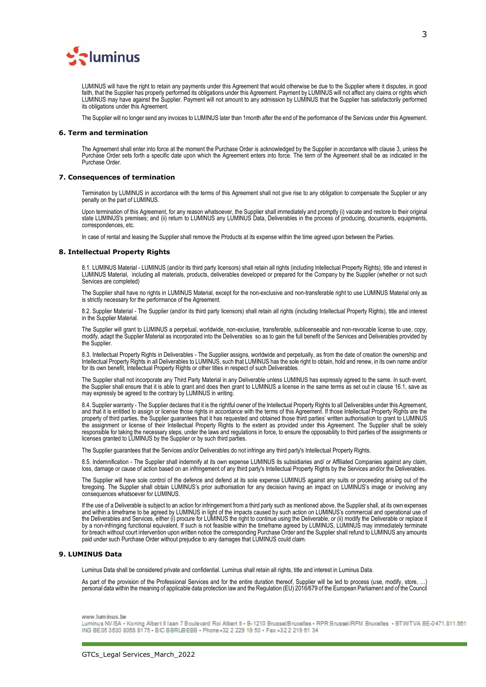

LUMINUS will have the right to retain any payments under this Agreement that would otherwise be due to the Supplier where it disputes, in good faith, that the Supplier has properly performed its obligations under this Agreement. Payment by LUMINUS will not affect any claims or rights which LUMINUS may have against the Supplier. Payment will not amount to any admission by LUMINUS that the Supplier has satisfactorily performed its obligations under this Agreement.

The Supplier will no longer send any invoices to LUMINUS later than 1month after the end of the performance of the Services under this Agreement.

### **6. Term and termination**

The Agreement shall enter into force at the moment the Purchase Order is acknowledged by the Supplier in accordance with clause 3, unless the Purchase Order sets forth a specific date upon which the Agreement enters into force. The term of the Agreement shall be as indicated in the Purchase Order.

#### **7. Consequences of termination**

Termination by LUMINUS in accordance with the terms of this Agreement shall not give rise to any obligation to compensate the Supplier or any penalty on the part of LUMINUS.

Upon termination of this Agreement, for any reason whatsoever, the Supplier shall immediately and promptly (i) vacate and restore to their original state LUMINUS's premises; and (ii) return to LUMINUS any LUMINUS Data, Deliverables in the process of producing, documents, equipments, correspondences, etc.

In case of rental and leasing the Supplier shall remove the Products at its expense within the time agreed upon between the Parties.

#### **8. Intellectual Property Rights**

8.1. LUMINUS Material - LUMINUS (and/or its third party licensors) shall retain all rights (including Intellectual Property Rights), title and interest in LUMINUS Material, including all materials, products, deliverables developed or prepared for the Company by the Supplier (whether or not such Services are completed)

The Supplier shall have no rights in LUMINUS Material, except for the non-exclusive and non-transferable right to use LUMINUS Material only as is strictly necessary for the performance of the Agreement.

8.2. Supplier Material - The Supplier (and/or its third party licensors) shall retain all rights (including Intellectual Property Rights), title and interest in the Supplier Material.

The Supplier will grant to LUMINUS a perpetual, worldwide, non-exclusive, transferable, sublicenseable and non-revocable license to use, copy, modify, adapt the Supplier Material as incorporated into the Deliverables so as to gain the full benefit of the Services and Deliverables provided by the Supplier.

8.3. Intellectual Property Rights in Deliverables - The Supplier assigns, worldwide and perpetually, as from the date of creation the ownership and Intellectual Property Rights in all Deliverables to LUMINUS, such that LUMINUS has the sole right to obtain, hold and renew, in its own name and/or for its own benefit, Intellectual Property Rights or other titles in respect of such Deliverables.

The Supplier shall not incorporate any Third Party Material in any Deliverable unless LUMINUS has expressly agreed to the same. In such event, the Supplier shall ensure that it is able to grant and does then grant to LUMINUS a license in the same terms as set out in clause 16.1, save as may expressly be agreed to the contrary by LUMINUS in writing.

8.4. Supplier warranty - The Supplier declares that it is the rightful owner of the Intellectual Property Rights to all Deliverables under this Agreement, and that it is entitled to assign or license those rights in accordance with the terms of this Agreement. If those Intellectual Property Rights are the property of third parties, the Supplier guarantees that it has requested and obtained those third parties' written authorisation to grant to LUMINUS the assignment or license of their Intellectual Property Rights to the extent as provided under this Agreement. The Supplier shall be solely responsible for taking the necessary steps, under the laws and regulations in force, to ensure the opposability to third parties of the assignments or licenses granted to LUMINUS by the Supplier or by such third parties.

The Supplier guarantees that the Services and/or Deliverables do not infringe any third party's Intellectual Property Rights.

8.5. Indemnification - The Supplier shall indemnify at its own expense LUMINUS its subsidiaries and/ or Affiliated Companies against any claim, loss, damage or cause of action based on an infringement of any third party's Intellectual Property Rights by the Services and/or the Deliverables.

The Supplier will have sole control of the defence and defend at its sole expense LUMINUS against any suits or proceeding arising out of the foregoing. The Supplier shall obtain LUMINUS's prior authorisation for any decision having an impact on LUMINUS's image or involving any consequences whatsoever for LUMINUS.

If the use of a Deliverable is subject to an action for infringement from a third party such as mentioned above, the Supplier shall, at its own expenses and within a timeframe to be agreed by LUMINUS in light of the impacts caused by such action on LUMINUS's commercial and operational use of the Deliverables and Services, either (i) procure for LUMINUS the right to continue using the Deliverable, or (ii) modify the Deliverable or replace it by a non-infringing functional equivalent. If such is not feasible within the timeframe agreed by LUMINUS, LUMINUS may immediately terminate for breach without court intervention upon written notice the corresponding Purchase Order and the Supplier shall refund to LUMINUS any amounts paid under such Purchase Order without prejudice to any damages that LUMINUS could claim.

### **9. LUMINUS Data**

Luminus Data shall be considered private and confidential. Luminus shall retain all rights, title and interest in Luminus Data.

As part of the provision of the Professional Services and for the entire duration thereof, Supplier will be led to process (use, modify, store, …) personal data within the meaning of applicable data protection law and the Regulation (EU) 2016/679 of the European Parliament and of the Council

#### www.luminus.be

Luminus NV/SA . Koning Albert II Iaan 7 Boulevard Roi Albert II . B-1210 Brussel/Bruxelles . RPR Brussel/RPM Bruxelles . BTW/TVA BE-0471.811.661 ING BE05 3630 8088 8175 . BIC BBRUBEBB . Phone +32 2 229 19 50 . Fax +32 2 219 61 34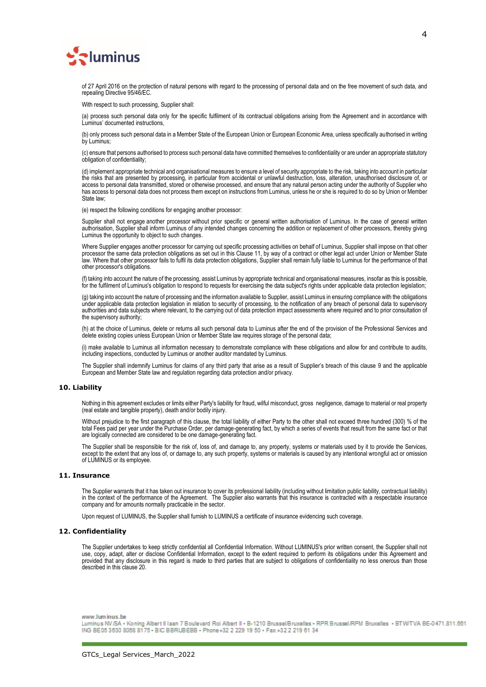

of 27 April 2016 on the protection of natural persons with regard to the processing of personal data and on the free movement of such data, and repealing Directive 95/46/EC.

With respect to such processing, Supplier shall:

(a) process such personal data only for the specific fulfilment of its contractual obligations arising from the Agreement and in accordance with Luminus' documented instructions,

(b) only process such personal data in a Member State of the European Union or European Economic Area, unless specifically authorised in writing by Luminus;

(c) ensure that persons authorised to process such personal data have committed themselves to confidentiality or are under an appropriate statutory obligation of confidentiality;

(d) implement appropriate technical and organisational measures to ensure a level of security appropriate to the risk, taking into account in particular the risks that are presented by processing, in particular from accidental or unlawful destruction, loss, alteration, unauthorised disclosure of, or access to personal data transmitted, stored or otherwise processed, and ensure that any natural person acting under the authority of Supplier who has access to personal data does not process them except on instructions from Luminus, unless he or she is required to do so by Union or Member State law;

(e) respect the following conditions for engaging another processor:

Supplier shall not engage another processor without prior specific or general written authorisation of Luminus. In the case of general written authorisation, Supplier shall inform Luminus of any intended changes concerning the addition or replacement of other processors, thereby giving Luminus the opportunity to object to such changes.

Where Supplier engages another processor for carrying out specific processing activities on behalf of Luminus, Supplier shall impose on that other processor the same data protection obligations as set out in this Clause 11, by way of a contract or other legal act under Union or Member State law. Where that other processor fails to fulfil its data protection obligations, Supplier shall remain fully liable to Luminus for the performance of that other processor's obligations.

(f) taking into account the nature of the processing, assist Luminus by appropriate technical and organisational measures, insofar as this is possible, for the fulfilment of Luminus's obligation to respond to requests for exercising the data subject's rights under applicable data protection legislation;

(g) taking into account the nature of processing and the information available to Supplier, assist Luminus in ensuring compliance with the obligations under applicable data protection legislation in relation to security of processing, to the notification of any breach of personal data to supervisory authorities and data subjects where relevant, to the carrying out of data protection impact assessments where required and to prior consultation of the supervisory authority;

(h) at the choice of Luminus, delete or returns all such personal data to Luminus after the end of the provision of the Professional Services and delete existing copies unless European Union or Member State law requires storage of the personal data;

(i) make available to Luminus all information necessary to demonstrate compliance with these obligations and allow for and contribute to audits, including inspections, conducted by Luminus or another auditor mandated by Luminus.

The Supplier shall indemnify Luminus for claims of any third party that arise as a result of Supplier's breach of this clause 9 and the applicable European and Member State law and regulation regarding data protection and/or privacy.

### **10. Liability**

Nothing in this agreement excludes or limits either Party's liability for fraud, wilful misconduct, gross negligence, damage to material or real property (real estate and tangible property), death and/or bodily injury.

Without prejudice to the first paragraph of this clause, the total liability of either Party to the other shall not exceed three hundred (300) % of the total Fees paid per year under the Purchase Order, per damage-generating fact, by which a series of events that result from the same fact or that are logically connected are considered to be one damage-generating fact.

The Supplier shall be responsible for the risk of, loss of, and damage to, any property, systems or materials used by it to provide the Services, except to the extent that any loss of, or damage to, any such property, systems or materials is caused by any intentional wrongful act or omission of LUMINUS or its employee.

#### **11. Insurance**

The Supplier warrants that it has taken out insurance to cover its professional liability (including without limitation public liability, contractual liability) in the context of the performance of the Agreement. The Supplier also warrants that this insurance is contracted with a respectable insurance company and for amounts normally practicable in the sector.

Upon request of LUMINUS, the Supplier shall furnish to LUMINUS a certificate of insurance evidencing such coverage.

## **12. Confidentiality**

The Supplier undertakes to keep strictly confidential all Confidential Information. Without LUMINUS's prior written consent, the Supplier shall not use, copy, adapt, alter or disclose Confidential Information, except to the extent required to perform its obligations under this Agreement and provided that any disclosure in this regard is made to third parties that are subject to obligations of confidentiality no less onerous than those described in this clause 20.

www.luminus.he

Luminus NV/SA . Koning Albert II Iaan 7 Boulevard Roi Albert II - B-1210 Brussel/Bruxelles . RPR Brussel/RPM Bruxelles . BTW/TVA BE-0471.811.661 ING BE05 3630 8068 8175 - BIC BBRUBEBB - Phone +32 2 229 19 50 - Fax +32 2 219 61 34